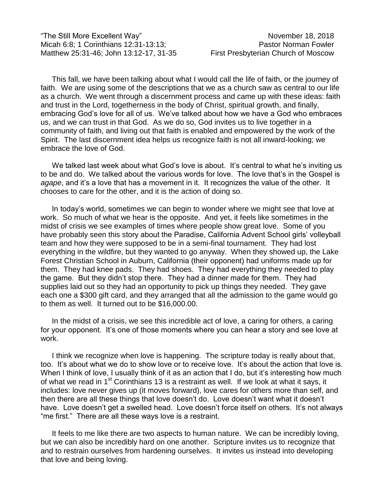"The Still More Excellent Way" November 18, 2018 Micah 6:8; 1 Corinthians 12:31-13:13; Pastor Norman Fowler Matthew 25:31-46; John 13:12-17, 31-35 First Presbyterian Church of Moscow

This fall, we have been talking about what I would call the life of faith, or the journey of faith. We are using some of the descriptions that we as a church saw as central to our life as a church. We went through a discernment process and came up with these ideas: faith and trust in the Lord, togetherness in the body of Christ, spiritual growth, and finally, embracing God's love for all of us. We've talked about how we have a God who embraces us, and we can trust in that God. As we do so, God invites us to live together in a community of faith, and living out that faith is enabled and empowered by the work of the Spirit. The last discernment idea helps us recognize faith is not all inward-looking; we embrace the love of God.

We talked last week about what God's love is about. It's central to what he's inviting us to be and do. We talked about the various words for love. The love that's in the Gospel is *agape*, and it's a love that has a movement in it. It recognizes the value of the other. It chooses to care for the other, and it is the action of doing so.

In today's world, sometimes we can begin to wonder where we might see that love at work. So much of what we hear is the opposite. And yet, it feels like sometimes in the midst of crisis we see examples of times where people show great love. Some of you have probably seen this story about the Paradise, California Advent School girls' volleyball team and how they were supposed to be in a semi-final tournament. They had lost everything in the wildfire, but they wanted to go anyway. When they showed up, the Lake Forest Christian School in Auburn, California (their opponent) had uniforms made up for them. They had knee pads. They had shoes. They had everything they needed to play the game. But they didn't stop there. They had a dinner made for them. They had supplies laid out so they had an opportunity to pick up things they needed. They gave each one a \$300 gift card, and they arranged that all the admission to the game would go to them as well. It turned out to be \$16,000.00.

In the midst of a crisis, we see this incredible act of love, a caring for others, a caring for your opponent. It's one of those moments where you can hear a story and see love at work.

I think we recognize when love is happening. The scripture today is really about that, too. It's about what we do to show love or to receive love. It's about the action that love is. When I think of love, I usually think of it as an action that I do, but it's interesting how much of what we read in 1<sup>st</sup> Corinthians 13 is a restraint as well. If we look at what it says, it includes: love never gives up (it moves forward), love cares for others more than self, and then there are all these things that love doesn't do. Love doesn't want what it doesn't have. Love doesn't get a swelled head. Love doesn't force itself on others. It's not always "me first." There are all these ways love is a restraint.

It feels to me like there are two aspects to human nature. We can be incredibly loving, but we can also be incredibly hard on one another. Scripture invites us to recognize that and to restrain ourselves from hardening ourselves. It invites us instead into developing that love and being loving.